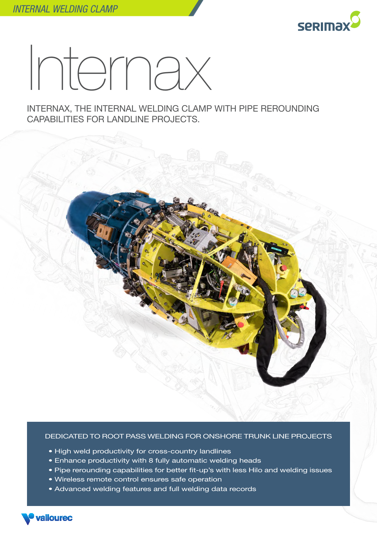

## Internax

INTERNAX, THE INTERNAL WELDING CLAMP WITH PIPE REROUNDING CAPABILITIES FOR LANDLINE PROJECTS.



## DEDICATED TO ROOT PASS WELDING FOR ONSHORE TRUNK LINE PROJECTS

- High weld productivity for cross-country landlines
- Enhance productivity with 8 fully automatic welding heads
- Pipe rerounding capabilities for better fit-up's with less Hilo and welding issues
- Wireless remote control ensures safe operation
- Advanced welding features and full welding data records